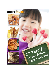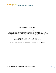

Copyright 2010 by Prime Publishing LLC

All rights reserved. No part of this book may be reproduced or transmitted in any form or by any means, electronic or mechanical, including photocopying, recording, or by any information storage or retrieval system, without written permission from the publisher, except in the case of brief quotations embodied in critical articles and reviews.

> Trademarks are property of their respective holders. When used, trademarks are for the benefit of the trademark owner only.

Published by Prime Publishing LLC, 3400 Dundee Road, Northbrook, IL 60062 - [www.primecp.com](http://www.primecp.com/)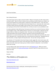

Letter from the Editors

Dear Cooking Enthusiast:

Once school season starts up again, everyone wonders, "What are some great, fun after school snacks I can feed my kids?" Most of us want to make sure we are offering a variety of foods to our children, not just the same old bad-for-you cheesy poofs or candy that so many people resort to. That's why we've compiled this collection of *27 Terrific After School Snack Recipes* for you. Homemade after school snacks are always a better bet than store-bought…they are easier on your conscience, because you know you're giving your kids and their friends healthier fare, and they are easier on your pocketbook as well.

An analysis published in May 2010 by Kaiser Permanente cited that over one-third of American children are overweight or obese. With childhood obesity in America at an all-time high, it's high time we took charge of what our children are doing after school. That means not only offering them after school snacks that provide at the very least a modicum of nutrition, but also ensuring they have the opportunity to run around and play after school. When some of our Editors here were little, after school wasn't video game time…it was get outside and run around with your friends time. Playing kick the can, tag, freeze dance…all types of games that keep kids active. Get your kids running around too!

This collection of *27 Terrific After School Snack Recipes* includes veggie after school snack recipes, after school snack recipes with fruit, and yes, some sweet after school snack ideas as well. Besides eating up these yummy after school snack recipes, get your children involved in making them. Even the littlest kiddie cook can help!

For more delicious after school snack recipes, be sure to visit [RecipeLion.com.](http://www.recipelion.com/) While you're there, subscribe to RecipeLion's free *[Quick and Easy Recipes](http://www.recipelion.com/section/subctr/action/signup)* newsletter to get free recipes delivered to your inbox every week.

Happy snacking!

Sincerely,

*The Editors of RecipeLion*

[http://www.RecipeLion.com/](http://www.recipelion.com/)

[Blog.RecipeLion.com](http://blog.recipelion.com/)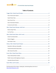

# **Table of Contents**

Find thousands of free recipes, cooking tips, entertaining ideas and more at http://www.RecipeLion.com/.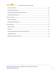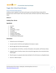

# <span id="page-5-0"></span>**Veggie After School Snack Recipes**

## <span id="page-5-1"></span>**Oven-Fried Zucchini Spears**

A delicious snack or appetizer, oven-fried zucchini spears are the perfect thing to make with the bounties of your summer squash. They're easy, they're quick, and they're super tasty. Whip up a batch today!

## *Serves: 3*

## *Cooking Time: 30 min*

## *Ingredients*

- 3 zucchini
- 2 eggs
- $\bullet$   $\frac{1}{4}$  cup milk
- 3 cloves garlic, crushed
- $\bullet$   $\frac{1}{2}$  cup flour
- $\bullet$   $\frac{1}{3}$  cup cornmeal
- 1 teaspoon chili powder
- <sup>1</sup>/2 teaspoon onion powder
- <sup>1</sup>/2 cup Parmesan cheese, grated

- 1. Preheat the oven to 425 degrees F.
- 2. Cut each zucchini in half, then each lengthwise into 6 pieces or spears.
- 3. Beat the eggs with the milk and add the garlic.
- 4. In a separate bowl, mix the flour, cornmeal, chili powder, onion powder, and Parmesan cheese.
- 5. Dredge the spears in the flour mixture, then coat with the egg mixture, then coat with the flour mixture again.
- 6. Place the spears on a greased cookie sheet and bake for 25 to 30 minutes or until golden brown.
- 7. Serve hot. Makes 36 spears.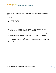

## <span id="page-6-0"></span>**Sweet Potato Chips**

Use this sweet potato recipe to learn how to cook a sweet potato like a regular potato, only with tastier results. Unlike potato recipes, sweet potato recipes are healthier for you because they contain more nutrients.

## *Ingredients*

- $\bullet$ 1 /2 pound sweet potatoes
- <sup>1</sup>/2 tablespoon corn oil

- 1. Preheat oven to 400 degrees F.
- 2. Lightly coat a baking sheet with non-stick cooking spray. Slice the sweet potatoes by hand in very thin slices, or use a food processor with a 2-millimeter disk.
- 3. In a large bowl carefully toss the sweet potato slices by hand in the oil to coat the chips lightly.
- 4. Lay the slices in a single layer in the prepared baking pan. Bake the chips for 15 minutes.
- 5. Turn each piece over with a metal spatula and bake for 5 more minutes. Chips should be dry and slightly crisp. If not, bake up to 3 more minutes, checking every minute so the chips won't burn.
- 6. Let cool for 5 minutes before serving.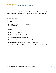

## <span id="page-7-0"></span>**Oven French Fries**

A great easy to make snack or side dish for any dinner, these crunchy oven fries are wonderful. Who needs all that grease when these Oven French Fries are sure to curb any cravings you are having.

## *Serves: 4*

## *Cooking Time: 45 min*

## *Ingredients*

- $\bullet$  1<sup>1</sup>/2 pounds potatoes, peeled and cut into julienne
- 1 tablespoon corn oil
- <sup>1</sup>/2 teaspoon salt

- 1. Preheat oven to 400 degrees F.
- 2. Blanch the potatoes in boiling water for 5 minutes.
- 3. Drain and leave slices to cool for 5 minutes.
- 4. Put in a bag, add the oil and shake gently until the potato slices are coated.
- 5. Place the potato slices in a single layer on a lightly oiled baking sheet.
- 6. Sprinkle on the salt and cook at 400 degrees F for 30 minutes (for thin cut) to 40 minutes (thick cut).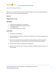

## <span id="page-8-0"></span>**Oven-Fried Sweet Potatoes**

When you are craving French fries but want something healthier, slice up some sweet potatoes and bake in the oven. Fresh herbs add wonderful flavor.

## *Serves: 8*

#### *Cooking Time: 17 min*

#### *Ingredients*

- 5 pounds sweet potatoes (12 to 15 potatoes)
- 2 tablespoons chopped fresh marjoram or thyme
- $\bullet$  1  $\frac{1}{2}$  teaspoons salt
- $\bullet$  1<sup>1</sup>/2 teaspoons freshly ground pepper

- 1. Preheat oven to 475 degrees F.
- 2. Peel the potatoes and cut them in half across the middle, then cut the halves lengthwise into 1/4-inch- thick slices.
- 3. Put the slices into a bowl and spray well with nonstick cooking spray. Add the marjoram or thyme, salt and pepper. Toss several times to coat the slices with Pam and seasonings.
- 4. Spread the slices evenly in a single layer on baking sheets.
- 5. Bake for 8 to 10 minutes, then turn the slices and bake until slightly crisped and tender, 5 to 7 minutes longer.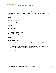

## <span id="page-9-0"></span>**Crunchy Zucchini Sticks**

These crunchy zucchini sticks are a great alternative to French fries. Bread and bake them and try them with a variety of dipping sauces, marinara or a ranch sauce would work well. A great way to get the kids to eat veggies.

## *Serves: 6*

## *Preparation Time: 30 min*

#### *Cooking Time: 15 min*

### *Ingredients*

- 3 medium zucchini
- $\bullet$   $\frac{1}{2}$  cup wheat germ
- $\bullet$   $\frac{1}{2}$  cup almonds, finely chopped
- <sup>1</sup>/4 cup parmesan cheese, grated
- $\bullet$   $\frac{1}{2}$  teaspoon salt
- <sup>1</sup>/4 cup margarine or butter, melted

- 1. Preheat oven to 350°F.
- 2. Cut each zucchini lengthwise into fourths, then lengthwise into halves to form sticks. Cut each stick lengthwise into halves (each zucchini makes 16 sticks).
- 3. Mix wheat germ, almonds, cheese and salt in plastic bag. Roll about 8 zucchini sticks at a time in margarine until evenly coated. Lift with fork. Shake sticks in wheat germ.
- 4. Lay on an ungreased cookie sheet. Cook until crisp and tender, about 15 minutes.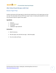

# <span id="page-10-0"></span>**After School Snack Recipes with Fruit**

## <span id="page-10-1"></span>**Banana Yogurt Pops**

Combine ripe bananas with tangy yogurt to make the best tasting frozen non fat yogurt pops you have ever had. This tastes better than any TCBY frozen yogurt recipes. Use high quality ingredients to make one of the best recipes for organic frozen yogurt.

## *Ingredients*

- 2 bananas
- 2 ounces plain yogurt
- $\bullet$   $^{-1}/$ 4 cup milk
- 1 tablespoon sugar (optional)

- 1. Mash the bananas.
- 2. Mix with yogurt, then add milk and sugar. Blend thoroughly.
- 3. Pour into molds and freeze.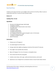

## <span id="page-11-0"></span>**Fun Fruit Pizza**

A delicious and unique treat that's sure to delight, check out this Fun Fruit Pizza. When it comes to creative kids snacks this is a winner for best fruit pizza recipes.

## *Serves: 12*

## *Cooking Time: 15 min*

#### *Ingredients*

- 10 ounces roll refrigerated sugar cookie dough
- <sup>1</sup>/8 teaspoon cinnamon
- 1 package (8-ounce) reduced calorie cream cheese
- $\bullet$   $^{-1}/$ 4 cup skim milk
- 2 tablespoons sugar
- <sup>1</sup>/2 teaspoon vanilla extract
- $\bullet$   $\frac{1}{2}$  teaspoon almond extract
- 3 or 4 varieties of fresh fruit in season (enough to cover a 14-inch pizza)
- <sup>1</sup>/2 cup all-fruit apricot jam or jelly
- <sup>1</sup>/2 teaspoon strawberry extract
- water (if necessary)

- 1. Preheat oven to 375 degrees F.
- 2. Cut cookie dough into 1/8-inch slices.
- 3. Arrange cookie slices slightly overlapping on aluminum-foil-covered 14" pizza pan.
- 4. Press edges to seal. Sprinkle with cinnamon.
- 5. Bake at 375 degrees F for 12 to 15 minutes or until golden brown.
- 6. Cool; remove from foil onto serving plate.
- 7. Combine cream cheese, milk, sugar, vanilla and almond extracts, and mix well.
- 8. Spread over crust. Arrange fruit in an attractive manner on top of cream cheese mixture.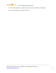

- 9. Then combine apricot jam, strawberry extract, and water (if needed) to make thin glaze.
- 10. Brush or spoon glaze over top of fruit and serve.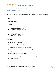

# <span id="page-13-0"></span>**After School Snack Ideas with Cereal**

## <span id="page-13-1"></span>**Dried Fruit Oatmeal Bars**

These dried fruit oatmeal bars feature unusual dried fruits, cranberries and pears. They are also quite sweet, but still much healthier than other popular after school snack recipes for candy and cookies!

## *Yields: 24*

## *Cooking Time: 20 min*

#### *Ingredients*

- 3 cups quick-cooking oats
- $\bullet$   $\frac{1}{2}$  cup finely chopped dried pears
- $\bullet$   $\frac{1}{2}$  cup finely chopped dried cranberries
- <sup>3</sup>/4 cup butter or margarine
- 1 cup packed brown sugar
- <sup>3</sup>/4 teaspoon salt
- <sup>1</sup>/2 teaspoon grated lemon rind
- $\bullet$  1  $\frac{1}{2}$  tablespoons corn syrup
- $\bullet$  1<sup>1</sup>/2 teaspoons vanilla

- 1. Preheat oven to 350 degrees F.
- 2. In large bowl, combine oats and dried fruit; set aside.
- 3. In large heavy saucepan, melt butter over low heat.
- 4. Stir in sugar, salt, lemon rind, corn syrup and vanilla; bring to a boil over medium heat, stirring frequently.
- 5. Remove from heat and stir in oat mixture.
- 6. Turn into 13x9-inch baking pan; press mixture to form an even layer.
- 7. Bake for 20 minutes.
- 8. Cut into bars while still warm. Makes about 24 bars.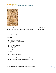

## <span id="page-14-0"></span>**Cheerio Nuggets**



For an easy and fun dessert, make these yummy nuggets of goodness using an old favorite - Cheerios! They make a great after-school snack for your kids...and all the others in the neighborhood.

## *Serves: 12*

## *Cooking Time: 25 min*

## *Ingredients*

- 1 cup packed brown sugar
- <sup>1</sup>/2 cup softened margarine or butter
- $\bullet$   $\frac{1}{4}$  cup lite corn syrup
- <sup>1</sup>/2 teaspoon salt
- <sup>1</sup>/2 teaspoon baking soda
- 6 cups Cheerios
- 1 cup Spanish peanuts
- 1 cup yellow raisins

- 1. Heat oven to 250F degrees.
- 2. Grease 2 rectangle pans 13x9-inch or 1 jelly roll pan 15 1/2" x 10 1/2".
- 3. Combine Cheerios, peanuts, and raisins in a 4-quart bowl.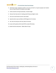

- 4. Heat brown sugar, margarine or butter, corn syrup, and salt in a 2-quart saucepan over medium heat, stirring constantly, till bubbly around edges.
- 5. Cook uncovered, stirring occasionally, 2 minutes longer.
- 6. Remove from heat and stir in baking soda till foamy and light in color.
- 7. Pour over cereal mixture and stir until coated.
- 8. Spread evenly in pans and bake at 250F degrees for 15 minutes.
- 9. Stir, then let stand just until cool, about 10 minutes.
- 10. Loosen with spatula and let stand till firm, about 30 minutes.
- 11. Break into bite-sized pieces. Makes about 10 cups.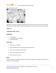

## <span id="page-16-0"></span>**Rice Krispies Treats**



Who doesn't remember making Rice Krispies treats as a kid? If you have kids of your own, they're the perfect dessert to make together. With 3 simple ingredients, they're fast, easy, and require no baking!

## *Yields: 12*

## *Preparation Time: 15 min*

## *Ingredients*

- $\bullet$ 1 /4 cup butter
- 4 cups miniature marshmallows
- 6 cups Rice Krispies

#### *Instructions*

- 1. Melt butter in a saucepan.
- 2. Add marshmallows and stir until melted; remove from heat.
- 3. Stir in cereal and blend until well mixed.
- 4. Press into a buttered 13x9-inch pan.
- 5. Cut into squares when cool.

#### *Notes*

Variations: Add nuts or chocolate chips to the cereal before mixing in marshmallows. Substitute 6 cups of granola for the Rice Krispies.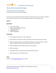

# <span id="page-17-0"></span>**Cheesy After School Snack Recipes**

## <span id="page-17-1"></span>**Samantha's Afternoon Quesadilla**

*By: Samantha Gianulis, Families Online Magazine*

For a great, easy snack, take a few minutes and make this if you're near a stove, or pack it up and take it with you. Grains, lean protein, calcium and vegetables all make it into this compact snack.

## *Serves: 1*

## *Ingredients*

- 1 corn or flour tortilla
- 1 egg or 1/2 cup cooked, diced chicken
- $\bullet$   $\frac{1}{4}$  cup shredded cheese
- 2 tablespoons salsa
- nonstick cooking spray

## *Instructions*

- 1. Place a griddle or large pan over medium-high heat.
- 2. Place tortilla on pan and warm tortilla on both sides, then remove from pan and set aside.
- 3. Spray non-stick spray onto pan, cook the egg as desired; sunny-side up works best. (If using chicken, combine the cheese in pan and heat, stir until cheese is melted).
- 4. Sprinkle shredded cheese onto egg; cheese will melt as egg cooks.
- 5. Add salt and pepper.
- 6. When egg (or chicken) is ready, place atop tortilla, and top with salsa.
- 7. Wrap in parchment or foil if taking with you.

#### *Notes*

Be sure to read **Samantha's guest post on our blog!**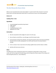

## <span id="page-18-0"></span>**The Best Mozzarella Cheese Sticks**

Make an easy mozzarella cheese stick recipe tonight, it's a great snack for kids. Everyone in my house boasts these as the Best Mozzarella Cheese Sticks. So wrap up your senses in this cheesy goodness.

## *Serves: 16*

#### *Cooking Time: 5 min*

#### *Ingredients*

- 1 pound packaged mozzarella (string cheese)
- 2 eggs, beaten
- $\bullet$   $\frac{1}{2}$  cup flour
- 1 cup flavored bread crumbs
- Vegetable oil for frying

#### *Instructions*

- 1. Slice the mozzarella into flat wedges (it's easier to fry this way).
- 2. Set up 3 bowls, one with flour, one with egg, one with the bread crumbs.
- 3. Coat each piece of cheese first with flour, then egg, then bread crumbs, then throw immediately into the hot oil to fry (the coating doesn't turn out as well if you let it sit around inside its coating).
- 4. Fry for a minute or two on each side until coating is golden brown and the cheese is melted.
- 5. Sprinkle with lemon juice and serve.

#### *Notes*

The difficult part of this is keeping the cheese from escaping the coating while it's frying. For best results, don't let the oil get too hot while frying, and try to keep the oil level at about 1/4 inch deep at all times during the process (i.e., do not deep fry).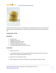

# <span id="page-19-0"></span>**After-School Pizza Rolls**



Whether you're having a group over for the big game or preparing an after-school snack, everyone will love these delicious and easy appetizers! Impress your guests with homemade, not store-bought pizza rolls.

## *Cooking Time: 15 min*

## *Ingredients*

- 1 jar pizza sauce
- 3 packages crescent rolls
- 1 tablespoon dried onions, minced
- <sup>1</sup>/4 teaspoon dried garlic, minced
- $\bullet$   $\frac{1}{2}$  teaspoon Italian seasoning, crushed
- 2 cups Mozzarella, Romano and Parmesan cheese

- 1. Preheat oven to 375F.
- 2. In a small bowl mix pizza sauce, onions, garlic and Italian seasoning. Let set for 10 minutes or until the onions and garlic have absorbed moisture.
- 3. Separate the crescent dough into pieces.
- 4. Spread 1 tablespoon of the pizza sauce down the entire length of each piece of dough.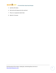

- 5. Sprinkle with cheese.
- 6. Roll up from the large end to the small end.
- 7. Place on an ungreased cookie sheet.
- 8. Bake for 15 minutes.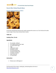

# <span id="page-21-0"></span>**Sweet After School Snack Ideas**

# <span id="page-21-1"></span>**Classic Oatmeal Raisin Cookies**



For the best old fashioned oatmeal raisin cookie recipe give this version a try. You're kids won't be able to get enough of these Classic Oatmeal Raisin Cookies.

## *Yields: 30*

## *Cooking Time: 15 min*

#### *Ingredients*

- $\bullet$ 3 /4 cup butter, softened
- <sup>3</sup>/4 cup lightly packed brown sugar
- $\bullet$   $\frac{1}{2}$  cup granulated sugar
- $\bullet$  1 egg
- 2 tablespoons water
- 2 teaspoons vanilla
- <sup>3</sup>/4 cup all purpose flour
- <sup>3</sup>/4 teaspoon baking soda
- 1 teaspoon cinnamon
- 3 cups rolled oats
- $\bullet$  1  $\frac{1}{2}$  cups raisins

#### *Instructions*

1. Preheat oven to 350 degrees F.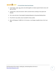

- 2. Cream butter, sugars, egg, water and vanilla together on medium speed of electric mixer until light and fluffy.
- 3. Combine flour, soda and cinnamon. Add to creamed mixture, beating on low speed until blended.
- 4. Stir in oats and raisins. Drop dough by heaping tablespoons onto greased baking sheets.
- 5. Press flat for crisp cookies, leave mounded for chewy cookies.
- 6. Bake at 350 degrees F (180C) for 12-15 minutes, or until edges are golden brown. Don't over bake.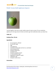

# <span id="page-23-0"></span>**Phyllis' Granny Smith Applesauce Squares**



I just put together a few easy-to-make, healthy recipes for back-to-school. This one substitutes applesauce for the large amount of butter and white sugar that traditionally makes up a dessert bar.

## *Yields: 20*

## *Cooking Time: 25 min*

#### *Ingredients*

- $\bullet$ 1 /4 cup margarine, softened
- $\bullet$   $\frac{2}{3}$  cup brown sugar
- $-1$  egg
- 1 cup applesauce
- 1 cup Granny Smith apples with skin on, small diced
- 1 cup all purpose flour
- 1 teaspoon baking soda
- <sup>1</sup>/2 teaspoon salt
- 1 teaspoon pumpkin pie spice
- $\bullet$  1  $\frac{1}{2}$  cups powdered sugar
- 3 tablespoons margarine, melted
- 1 tablespoon milk
- 1 teaspoon vanilla extract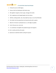

- 1. Preheat the oven to 350F degree.
- 2. Grease a 9x13-inch baking pan with butter spray.
- 3. Mix together margarine, brown sugar, and egg until smooth.
- 4. Stir in applesauce and chopped apples into the mixture.
- 5. Add flour, baking powder, salt, and pumpkin pie spice, mix until well blended.
- 6. Pour batter into the prepared pan and spread evenly with a spatula.
- 7. Bake for 25 minutes in preheated oven, or until edges are golden.
- 8. Cool in the pan over a wire rack.
- 9. In a small bowl, mix together the powdered sugar and margarine.
- 10. Stir in vanilla and milk until smooth.
- 11. Spread over cooled bars before cutting into squares.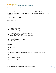

## <span id="page-25-0"></span>**Chocolate Almond Pretzels**

Chocolate Almond Pretzels are a special treat and taste great any time! This is a favorite chocolate covered pretzel recipe because of the terrific additional flavor from the almonds. Try it today and you'll see why everyone loves it!

## *Preparation Time: 1 hr 10 min*

#### *Cooking Time: 10 min*

#### *Ingredients*

- $\bullet$   $\frac{2}{3}$  cup unsalted butter; room temp
- <sup>1</sup>/2 cup almond paste; room temp
- <sup>1</sup>/2 cup granulated sugar
- 1 large egg white
- 2 teaspoons almond extract
- 2 cups flour
- 1 cup (heaping) confectioners' sugar for rolling pretzels
- $\bullet$   $\frac{1}{2}$  pound semisweet chocolate
- Melted Almond Paste (ingredients follow, recipe below)
- 8 ounces almonds; blanched
- $\bullet$   $\frac{1}{4}$  cup unsalted butter; soft
- 1 cup (heaping) confectioner's sugar
- $\bullet$  1 egg white
- 2 teaspoons almond extract

- 1. Preheat oven to 325°F.
- 2. Line baking pans with parchment or waxed paper.
- 3. Cream butter and broken-up almond paste (recipe below) with sugar in electric mixer.
- 4. Add egg white and extract and blend.
- 5. Add the flour and blend well.
- 6. Cover bowl and refrigerate one hour or longer.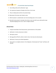

- 7. Dust rolling surface with confectioner' sugar.
- 8. Use a generous teaspoon of dough and roll into a 6-inch rope.
- 9. Place on baking sheet and form into pretzel shape.
- 10. Bake about 10 minutes; don't allow to color.
- 11. Melt chocolate in a double boiler over hot (not boiling) water. Stir to smooth.
- 12. Dip half of each pretzel in chocolate, then drain on wire rack with a pan underneath (scrape chocolate drippings and re-use). Store in airtight container.

## *Almond Paste*

- 1. Using the steel blade of the food processor, grind almonds to a fine powder.
- 2. Add butter in chunks and process to blend.
- 3. Add sugar; process.
- 4. Beat egg white stiff with a whisk or electric mixer, then drop into almond paste.
- 5. Add extract. Process just to blend ingredients.
- 6. Store paste in an airtight container in the refrigerator. Almond paste will "ripen" and flavors will develop.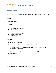

# <span id="page-27-0"></span>**Snack Mixes and Granola**

## <span id="page-27-1"></span>**Cinnamon Trail Mix**

Create a tasty mix of cereals, pretzels, raisins and sunflower seeds accented with cinnamon. This slightly sweet mixture will fuel an active day.

## *Serves: 6*

#### *Cooking Time: 10 min*

#### *Ingredients*

- 2 cups toasted oat cereal
- 2 cups hexagon-shaped corn cereal
- 2 cups pretzel bits
- $\bullet$   $\frac{3}{4}$  cup raisins
- $\bullet$   $\frac{1}{2}$  cup sunflower seeds
- 2 tablespoons reduced fat margarine
- 2 tablespoons brown sugar
- 1 tablespoon cinnamon
- nonstick cooking spray

- 1. Preheat oven to 350 degrees F.
- 2. In a large bowl combine the cereals, pretzel bits, raisins, and sunflower seeds. Toss gently.
- 3. Melt margarine in a microwave or saucepan and stir in brown sugar and cinnamon. Pour over the cereal mixture. Toss to coat.
- 4. Spread evenly on a baking sheet that has been sprayed with cooking spray.
- 5. Bake 8-10 minutes.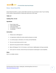

## <span id="page-28-0"></span>**Honey -Glazed Snack Mix**

Honey-Glazed Snack Mix is a sweet, protein filled snack that's easy and cheap to make. If you're looking for fun snacks to make with kids or creative kids snacks then try this recipe.

## *Yields: 12*

#### *Cooking Time: 15 min*

#### *Ingredients*

- 8 cups Crispix cereal
- 3 cups miniature pretzels
- 2 cups pecan halves
- $\bullet$   $\frac{2}{3}$  cup butter or margarine
- $\bullet$   $\frac{1}{2}$  cup honey

#### *Instructions*

- 1. Preheat oven to 350 degrees F.
- 2. In a large bowl, combine the cereal, pretzels and pecans; set aside.
- 3. In a small saucepan, melt butter; stir in honey until well blended.
- 4. Pour over cereal mixture and stir to coat.
- 5. Spread into two greased 15x10x1 in baking pans.
- 6. Bake at 350 degrees F for 12-15 minutes or until mixture is lightly glazed, stirring occasionally.
- 7. Cool in pan for 3 minutes; remove from pan and spread on waxed paper to cool completely.

#### *Notes*

Store in an airtight container.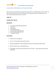

## <span id="page-29-0"></span>**Granola Bars with Raisins and Chocolate Chips**

These quick and easy granola bars are perfect for quick snacks or a breakfast before school or work. The flavor is perfect and is a fun treat for kids because of the chocolate chips and sunflower seeds. You won't miss the boxed alternatives for a second.

## *Yields: 36*

## *Cooking Time: 30 min*

#### *Ingredients*

- 3 cups oatmeal (Old Mill Oats preferred)
- $\bullet$  1 cup raisins
- 1 cup peanuts
- 1 cup sunflower seeds
- 1 cup semi-sweet chocolate chips
- 1 can sweetened condensed milk
- <sup>1</sup>/2 cup butter, melted

- 1. Preheat oven to 325 degrees F.
- 2. Line a 15 x 10-inch jelly roll pan with foil; grease.
- 3. Combine all ingredients in large mixing bowl. Mix well. Press evenly into prepared pan.
- 4. Bake for 25-30 minutes or until golden brown.
- 5. Cool slightly; remove from pan and peel off foil. Cut into bars. Store loosely covered at room temperature.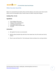

## <span id="page-30-0"></span>**White Chocolate Snack Mix**

Make a fun snack both kids and adults will love with this delicious and creative snack. Peanuts add a divine crunch to this decadent recipe. Creative snacks for children rarely taste this good.

## *Cooking Time: 15 min*

#### *Ingredients*

- 1 box multigrain Chex cereal
- 1 large jar of dry roasted peanuts
- 1 small bag of pretzel twists
- 2 packages of white chocolate chips
- $\bullet$   $\frac{1}{4}$  cup oil

- 1. Mix together the cereal, nuts and pretzels.
- 2. Melt the white chocolate chips with the oil over lowest heat. Pour this evenly over the dry mixture.
- 3. Place in a pan and freeze firm. Then break apart mixture and place into a serving container.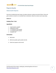

# <span id="page-31-0"></span>**Popcorn Snacks**

## <span id="page-31-1"></span>**Onion Garlic Popcorn**

Give this fun healthy kids snack recipe a try today to discover a whole new world of flavor. Onion and garlic combine to make for an irresistible flavor combination. Make this creative snack recipe today.

## *Serves: 6*

## *Cooking Time: 5 min*

## *Ingredients*

- 1 quart popcorn, popped
- 3 tablespoons butter
- $\bullet$  1  $\frac{1}{2}$  teaspoons onion powder
- $\bullet$  1  $\frac{1}{2}$  teaspoons garlic powder
- 1 teaspoon salt

- 1. Melt butter.
- 2. Add onion powder, garlic powder and salt.
- 3. Drizzle over popcorn and mix well.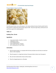

## <span id="page-32-0"></span>**Peanut Butter Popcorn Balls**



If you like peanut butter and you like popcorn, this recipe combines the best of both worlds! Get the kids involved in making these peanut butter popcorn balls - they love to get sticky, and they will, and you'll have a good time cooking together!

## *Yields: 12*

## *Cooking Time: 10 min*

## *Ingredients*

- 2 cups peanut butter, smooth or crunchy
- 2 tablespoons honey
- 6 cups popped popcorn
- 3 cups roasted peanuts, chopped
- oil or cooking spray, for your hands

- 1. Place the peanut butter in a saucepot with the honey and place over low heat; mix well and allow to melt completely.
- 2. Place the popcorn in a large bowl and pour the peanut butter mixture over the popcorn.
- 3. Mix until well combined (the mixture will be sticky!).
- 4. Place the chopped peanuts on a flat plate.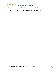

- 5. Oil or spray your hands lightly and shape the popcorn mixture into 12 balls.
- 6. Roll the popcorn balls in the chopped peanuts and wrap each in waxed paper.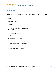

# <span id="page-34-0"></span>**Chips and Dips**

## <span id="page-34-1"></span>**Cheese Crackers**

For a quick and tasty treat for in between meals or as an after school snack, check out these Cheese Crackers. This is a quick and delicious homemade cracker recipe that's sure to please.

## *Serves: 6*

## *Cooking Time: 12 min*

## *Ingredients*

- $\bullet$   $\frac{1}{2}$  cup butter or margarine
- 2 cups shredded extra sharp cheddar cheese
- $\bullet$   $\frac{3}{4}$  cup flour
- dash salt
- dash cayenne pepper (optional)
- $\bullet$  1  $\frac{1}{2}$  cups crispy rice cereal

- 1. Preheat oven to 350 degrees F.
- 2. Cream butter and flour. Add cheese, then stir in the rice cereal.
- 3. Form into balls. Flatten with a damp fork.
- 4. Bake at 350 degrees F for 10 to 12 minutes (only until just barely brown on edges).
- 5. Remove from pan to cool completely.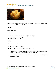

## <span id="page-35-0"></span>**Pita Chips**



Seasoned whole-wheat pita chips baked in the oven are a wonderfully healthy alternative to potato chips and other snacks. Enjoy as a snack with hummus or salsa.

## *Yields: 48*

#### *Cooking Time: 20 min*

#### *Ingredients*

- 1 package whole wheat pita bread (6 slices), cut into wedges
- olive oil or vegetable cooking spray
- seasoning (such as Mrs. Dash)

- 1. Preheat oven to 350 degrees F.
- 2. Cut pitas into 8 wedges per slice.
- 3. Place the pita wedges onto a cookie sheet in a single layer.
- 4. If using olive oil, brush the pita wedges with olive oil, then sprinkle with seasoning. If using cooking spray, sprinkle the pita wedges with seasoning, then spray.
- 5. Bake until crisp, about 20 minutes. Pita chips may need to be turned half-way through in order to crisp on both sides.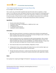

## <span id="page-36-0"></span>**Cara's Honeysuckle Farms Sweet Cream Cheese Dip**

#### *By: Cara Riggles, The Friendly Frugalista*

This is a quick, easy, and versatile 5-ingredient dip recipe that works well as an appetizer, a simple dessert, or as an afternoon snack. My husband's family loves it when I bring this to a family gathering. In fact, some of them frequently request it! I usually make a large batch, as leftovers can be refrigerated for up to one week, or frozen for up to 6 months. I am providing the measurements that I use for both my original recipe and my triple batch. The triple batch measurements will be in parenthesis.

## *Ingredients*

- 8 ounces cream cheese (24 ounces)
- 11 teaspoons white sugar (11 tablespoons, or slightly less than 1 cup)
- 2 tablespoons butter
- $2<sup>1</sup>/2$  tablespoons milk (1/4 cup)
- 1 tablespoon vanilla (1 tablespoon)

#### *Instructions*

- 1. Melt cream cheese and butter in microwave on medium heat until both are just getting soft. Watch carefully and do not overheat. If overheated, the cheese will begin to cook. It is fine if the butter completely melts before the cheese gets soft.
- 2. Place the softened mixture into a mixing bowl and add remaining ingredients. Mix at medium speed until blended. Scrape sides of bowl. Mix again at HIGH speed for about 3 minutes. The mixture should be soft, creamy, and very well blended. I use a Kitchen Aid mixer. If using a hand mixer, you may need to mix longer than 3 minutes to attain a creamy consistency.
- 3. Once mixed, the dip can be served immediately, refrigerated, or frozen.
- 4. If refrigerated or frozen, reheat carefully with medium heat so as not to overheat. Again, your goal is to warm and soften the dip, NOT to cook the cheese!
- 5. The dip is best when served warm. I usually serve this dip with pre-made soft pretzels (heated according to instructions on the box), but it could be served with carrots, apple slices, crackers, etc.

## *Notes*

Cara is going to be a regular guest blogger for RecipeLion! [Read about her in this post introducing her](http://blog.recipelion.com/introducing-a-new-guest-blogger-cara-riggles-the-friendly-frugalista/).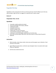

# <span id="page-37-0"></span>**Vegetable Pick-Ups**

Vegetables are the serving pieces for this fun and tasty party dip. Create the filling in just a few easy steps and pipe it right into your cut veggies for an app that won't require a plate.

## *Serves: 8*

## *Preparation Time: 15 min*

## *Ingredients*

- 2 avocados, seeded, peeled and mashed
- 1 (8-ounce) package cream cheese, softened
- 2 tablespoons butter
- 2 teaspoons lemon juice
- 4 drops hot pepper sauce
- 2 stalks celery, cut into 3-inch pieces
- <sup>1</sup>/4 pound fresh mushrooms, stems removed
- 1 each green and red bell pepper, seeded and cut into thick strips
- fresh chives, parsley sprigs, radish slices, olive slices, pecan or walnut halves for garnish (optional)
- $\bullet$

- 1. Blend avocados, cream cheese, butter, lemon juice and hot pepper sauce in blender or food processor until smooth.
- 2. Spoon filling into celery pieces, mushroom caps and pepper strips or use pastry tube to pipe filling onto vegetables.
- 3. Garnish each as desired and serve.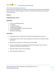

## <span id="page-38-0"></span>**Black Bean and Garbanzo Hummus**

Hummus with a twist of black beans! The creaminess of the tahini added to delicious black and garbanzo beans will surely be an afternoon delight at your house. This black bean and garbanzo hummus recipe is unique and delicious.

## *Serves: 8*

## *Preparation Time: 15 min*

## *Ingredients*

- 2 cans (15-ounce) garbanzo beans
- $\bullet$   $\frac{1}{3}$  cup tahini
- $\bullet$   $\frac{1}{3}$  cup fresh lime juice
- 4 teaspoons garlic, chopped
- 1 can (15-ounce) black beans, rinsed and drained well
- 1 pinch cayenne powder
- Pita bread, cut into triangles

- 1. Drain garbanzo beans, reserving 1/2 cup of the liquid. Rinse garbanzo beans; drain well.
- 2. Combine garbanzo beans, tahini, lime juice and garlic in a food processor or blender and puree until smooth.
- 3. Add black beans and process just until beans are coarsely chopped.
- 4. Transfer to a large bowl. Stir in enough reserved liquid from the garbanzo beans to thin the mixture to the consistency of thick mayonnaise.
- 5. Add cayenne pepper. Season with salt and pepper.
- 6. Serve with pita bread. Makes 4 cups.